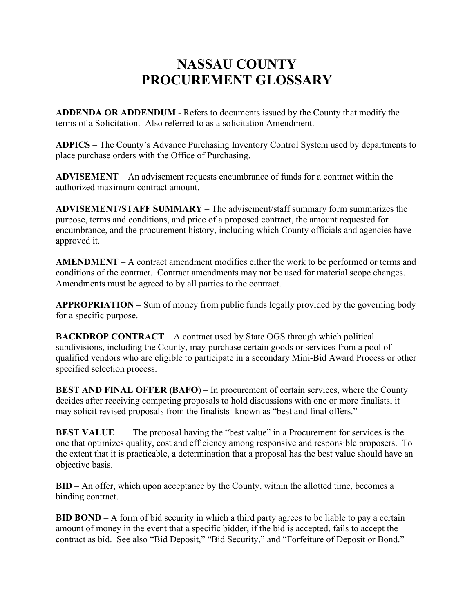## **NASSAU COUNTY PROCUREMENT GLOSSARY**

**ADDENDA OR ADDENDUM** - Refers to documents issued by the County that modify the terms of a Solicitation. Also referred to as a solicitation Amendment.

**ADPICS** – The County's Advance Purchasing Inventory Control System used by departments to place purchase orders with the Office of Purchasing.

**ADVISEMENT** – An advisement requests encumbrance of funds for a contract within the authorized maximum contract amount.

**ADVISEMENT/STAFF SUMMARY** – The advisement/staff summary form summarizes the purpose, terms and conditions, and price of a proposed contract, the amount requested for encumbrance, and the procurement history, including which County officials and agencies have approved it.

**AMENDMENT** – A contract amendment modifies either the work to be performed or terms and conditions of the contract. Contract amendments may not be used for material scope changes. Amendments must be agreed to by all parties to the contract.

**APPROPRIATION** – Sum of money from public funds legally provided by the governing body for a specific purpose.

**BACKDROP CONTRACT** – A contract used by State OGS through which political subdivisions, including the County, may purchase certain goods or services from a pool of qualified vendors who are eligible to participate in a secondary Mini-Bid Award Process or other specified selection process.

**BEST AND FINAL OFFER (BAFO)** – In procurement of certain services, where the County decides after receiving competing proposals to hold discussions with one or more finalists, it may solicit revised proposals from the finalists- known as "best and final offers."

**BEST VALUE** – The proposal having the "best value" in a Procurement for services is the one that optimizes quality, cost and efficiency among responsive and responsible proposers. To the extent that it is practicable, a determination that a proposal has the best value should have an objective basis.

**BID** – An offer, which upon acceptance by the County, within the allotted time, becomes a binding contract.

**BID BOND** – A form of bid security in which a third party agrees to be liable to pay a certain amount of money in the event that a specific bidder, if the bid is accepted, fails to accept the contract as bid. See also "Bid Deposit," "Bid Security," and "Forfeiture of Deposit or Bond."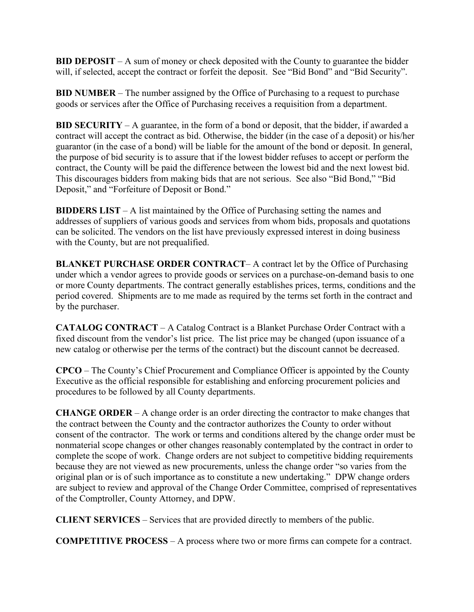**BID DEPOSIT** – A sum of money or check deposited with the County to guarantee the bidder will, if selected, accept the contract or forfeit the deposit. See "Bid Bond" and "Bid Security".

**BID NUMBER** – The number assigned by the Office of Purchasing to a request to purchase goods or services after the Office of Purchasing receives a requisition from a department.

**BID SECURITY** – A guarantee, in the form of a bond or deposit, that the bidder, if awarded a contract will accept the contract as bid. Otherwise, the bidder (in the case of a deposit) or his/her guarantor (in the case of a bond) will be liable for the amount of the bond or deposit. In general, the purpose of bid security is to assure that if the lowest bidder refuses to accept or perform the contract, the County will be paid the difference between the lowest bid and the next lowest bid. This discourages bidders from making bids that are not serious. See also "Bid Bond," "Bid Deposit," and "Forfeiture of Deposit or Bond."

**BIDDERS LIST** – A list maintained by the Office of Purchasing setting the names and addresses of suppliers of various goods and services from whom bids, proposals and quotations can be solicited. The vendors on the list have previously expressed interest in doing business with the County, but are not prequalified.

**BLANKET PURCHASE ORDER CONTRACT**– A contract let by the Office of Purchasing under which a vendor agrees to provide goods or services on a purchase-on-demand basis to one or more County departments. The contract generally establishes prices, terms, conditions and the period covered. Shipments are to me made as required by the terms set forth in the contract and by the purchaser.

**CATALOG CONTRACT** – A Catalog Contract is a Blanket Purchase Order Contract with a fixed discount from the vendor's list price. The list price may be changed (upon issuance of a new catalog or otherwise per the terms of the contract) but the discount cannot be decreased.

**CPCO** – The County's Chief Procurement and Compliance Officer is appointed by the County Executive as the official responsible for establishing and enforcing procurement policies and procedures to be followed by all County departments.

**CHANGE ORDER** – A change order is an order directing the contractor to make changes that the contract between the County and the contractor authorizes the County to order without consent of the contractor. The work or terms and conditions altered by the change order must be nonmaterial scope changes or other changes reasonably contemplated by the contract in order to complete the scope of work. Change orders are not subject to competitive bidding requirements because they are not viewed as new procurements, unless the change order "so varies from the original plan or is of such importance as to constitute a new undertaking." DPW change orders are subject to review and approval of the Change Order Committee, comprised of representatives of the Comptroller, County Attorney, and DPW.

**CLIENT SERVICES** – Services that are provided directly to members of the public.

**COMPETITIVE PROCESS** – A process where two or more firms can compete for a contract.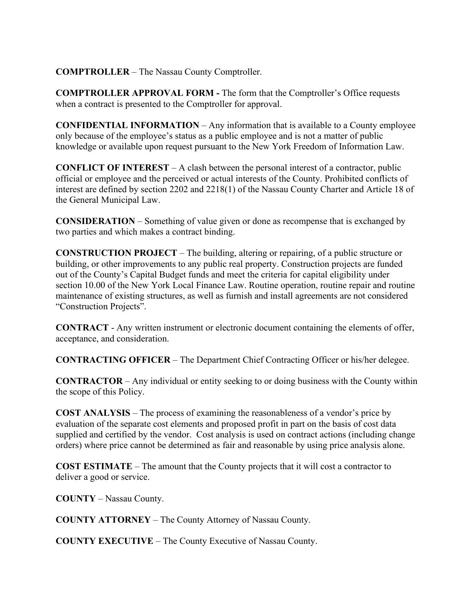## **COMPTROLLER** – The Nassau County Comptroller.

**COMPTROLLER APPROVAL FORM -** The form that the Comptroller's Office requests when a contract is presented to the Comptroller for approval.

**CONFIDENTIAL INFORMATION** – Any information that is available to a County employee only because of the employee's status as a public employee and is not a matter of public knowledge or available upon request pursuant to the New York Freedom of Information Law.

**CONFLICT OF INTEREST** – A clash between the personal interest of a contractor, public official or employee and the perceived or actual interests of the County. Prohibited conflicts of interest are defined by section 2202 and 2218(1) of the Nassau County Charter and Article 18 of the General Municipal Law.

**CONSIDERATION** – Something of value given or done as recompense that is exchanged by two parties and which makes a contract binding.

**CONSTRUCTION PROJECT** – The building, altering or repairing, of a public structure or building, or other improvements to any public real property. Construction projects are funded out of the County's Capital Budget funds and meet the criteria for capital eligibility under section 10.00 of the New York Local Finance Law. Routine operation, routine repair and routine maintenance of existing structures, as well as furnish and install agreements are not considered "Construction Projects".

**CONTRACT** - Any written instrument or electronic document containing the elements of offer, acceptance, and consideration.

**CONTRACTING OFFICER** – The Department Chief Contracting Officer or his/her delegee.

**CONTRACTOR** – Any individual or entity seeking to or doing business with the County within the scope of this Policy.

**COST ANALYSIS** – The process of examining the reasonableness of a vendor's price by evaluation of the separate cost elements and proposed profit in part on the basis of cost data supplied and certified by the vendor. Cost analysis is used on contract actions (including change orders) where price cannot be determined as fair and reasonable by using price analysis alone.

**COST ESTIMATE** – The amount that the County projects that it will cost a contractor to deliver a good or service.

**COUNTY** – Nassau County.

**COUNTY ATTORNEY** – The County Attorney of Nassau County.

**COUNTY EXECUTIVE** – The County Executive of Nassau County.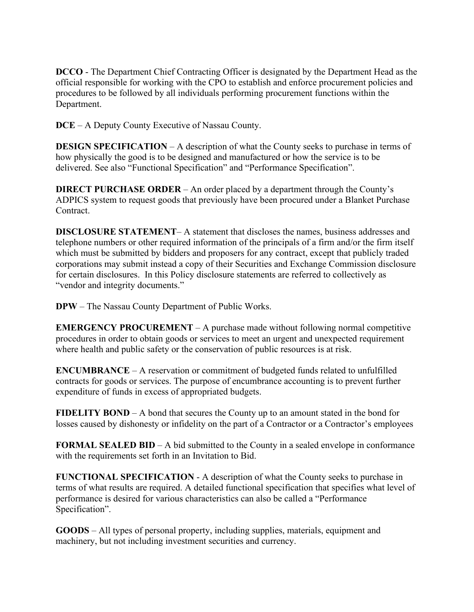**DCCO** - The Department Chief Contracting Officer is designated by the Department Head as the official responsible for working with the CPO to establish and enforce procurement policies and procedures to be followed by all individuals performing procurement functions within the Department.

**DCE** – A Deputy County Executive of Nassau County.

**DESIGN SPECIFICATION** – A description of what the County seeks to purchase in terms of how physically the good is to be designed and manufactured or how the service is to be delivered. See also "Functional Specification" and "Performance Specification".

**DIRECT PURCHASE ORDER** – An order placed by a department through the County's ADPICS system to request goods that previously have been procured under a Blanket Purchase Contract.

**DISCLOSURE STATEMENT**– A statement that discloses the names, business addresses and telephone numbers or other required information of the principals of a firm and/or the firm itself which must be submitted by bidders and proposers for any contract, except that publicly traded corporations may submit instead a copy of their Securities and Exchange Commission disclosure for certain disclosures. In this Policy disclosure statements are referred to collectively as "vendor and integrity documents."

**DPW** – The Nassau County Department of Public Works.

**EMERGENCY PROCUREMENT** – A purchase made without following normal competitive procedures in order to obtain goods or services to meet an urgent and unexpected requirement where health and public safety or the conservation of public resources is at risk.

**ENCUMBRANCE** – A reservation or commitment of budgeted funds related to unfulfilled contracts for goods or services. The purpose of encumbrance accounting is to prevent further expenditure of funds in excess of appropriated budgets.

**FIDELITY BOND** – A bond that secures the County up to an amount stated in the bond for losses caused by dishonesty or infidelity on the part of a Contractor or a Contractor's employees

**FORMAL SEALED BID** – A bid submitted to the County in a sealed envelope in conformance with the requirements set forth in an Invitation to Bid.

**FUNCTIONAL SPECIFICATION** - A description of what the County seeks to purchase in terms of what results are required. A detailed functional specification that specifies what level of performance is desired for various characteristics can also be called a "Performance Specification".

**GOODS** – All types of personal property, including supplies, materials, equipment and machinery, but not including investment securities and currency.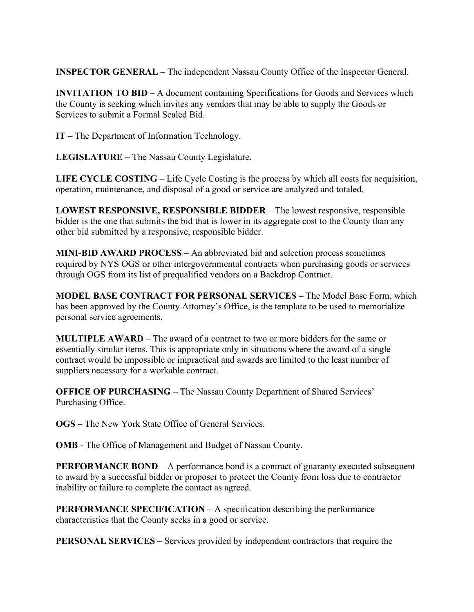**INSPECTOR GENERAL** – The independent Nassau County Office of the Inspector General.

**INVITATION TO BID** – A document containing Specifications for Goods and Services which the County is seeking which invites any vendors that may be able to supply the Goods or Services to submit a Formal Sealed Bid.

**IT** – The Department of Information Technology.

**LEGISLATURE** – The Nassau County Legislature.

**LIFE CYCLE COSTING** – Life Cycle Costing is the process by which all costs for acquisition, operation, maintenance, and disposal of a good or service are analyzed and totaled.

**LOWEST RESPONSIVE, RESPONSIBLE BIDDER** – The lowest responsive, responsible bidder is the one that submits the bid that is lower in its aggregate cost to the County than any other bid submitted by a responsive, responsible bidder.

**MINI-BID AWARD PROCESS** – An abbreviated bid and selection process sometimes required by NYS OGS or other intergovernmental contracts when purchasing goods or services through OGS from its list of prequalified vendors on a Backdrop Contract.

**MODEL BASE CONTRACT FOR PERSONAL SERVICES** – The Model Base Form, which has been approved by the County Attorney's Office, is the template to be used to memorialize personal service agreements.

**MULTIPLE AWARD** – The award of a contract to two or more bidders for the same or essentially similar items. This is appropriate only in situations where the award of a single contract would be impossible or impractical and awards are limited to the least number of suppliers necessary for a workable contract.

**OFFICE OF PURCHASING** – The Nassau County Department of Shared Services' Purchasing Office.

**OGS** – The New York State Office of General Services.

**OMB** - The Office of Management and Budget of Nassau County.

**PERFORMANCE BOND** – A performance bond is a contract of guaranty executed subsequent to award by a successful bidder or proposer to protect the County from loss due to contractor inability or failure to complete the contact as agreed.

**PERFORMANCE SPECIFICATION** – A specification describing the performance characteristics that the County seeks in a good or service.

**PERSONAL SERVICES** – Services provided by independent contractors that require the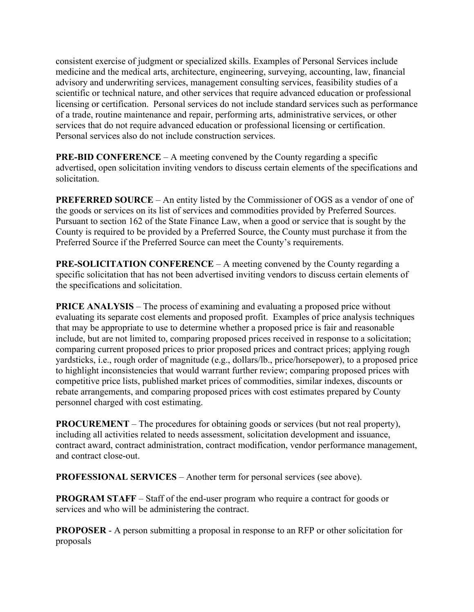consistent exercise of judgment or specialized skills. Examples of Personal Services include medicine and the medical arts, architecture, engineering, surveying, accounting, law, financial advisory and underwriting services, management consulting services, feasibility studies of a scientific or technical nature, and other services that require advanced education or professional licensing or certification. Personal services do not include standard services such as performance of a trade, routine maintenance and repair, performing arts, administrative services, or other services that do not require advanced education or professional licensing or certification. Personal services also do not include construction services.

**PRE-BID CONFERENCE** – A meeting convened by the County regarding a specific advertised, open solicitation inviting vendors to discuss certain elements of the specifications and solicitation.

**PREFERRED SOURCE** – An entity listed by the Commissioner of OGS as a vendor of one of the goods or services on its list of services and commodities provided by Preferred Sources. Pursuant to section 162 of the State Finance Law, when a good or service that is sought by the County is required to be provided by a Preferred Source, the County must purchase it from the Preferred Source if the Preferred Source can meet the County's requirements.

**PRE-SOLICITATION CONFERENCE** – A meeting convened by the County regarding a specific solicitation that has not been advertised inviting vendors to discuss certain elements of the specifications and solicitation.

**PRICE ANALYSIS** – The process of examining and evaluating a proposed price without evaluating its separate cost elements and proposed profit. Examples of price analysis techniques that may be appropriate to use to determine whether a proposed price is fair and reasonable include, but are not limited to, comparing proposed prices received in response to a solicitation; comparing current proposed prices to prior proposed prices and contract prices; applying rough yardsticks, i.e., rough order of magnitude (e.g., dollars/lb., price/horsepower), to a proposed price to highlight inconsistencies that would warrant further review; comparing proposed prices with competitive price lists, published market prices of commodities, similar indexes, discounts or rebate arrangements, and comparing proposed prices with cost estimates prepared by County personnel charged with cost estimating.

**PROCUREMENT** – The procedures for obtaining goods or services (but not real property), including all activities related to needs assessment, solicitation development and issuance, contract award, contract administration, contract modification, vendor performance management, and contract close-out.

**PROFESSIONAL SERVICES** – Another term for personal services (see above).

**PROGRAM STAFF** – Staff of the end-user program who require a contract for goods or services and who will be administering the contract.

**PROPOSER** - A person submitting a proposal in response to an RFP or other solicitation for proposals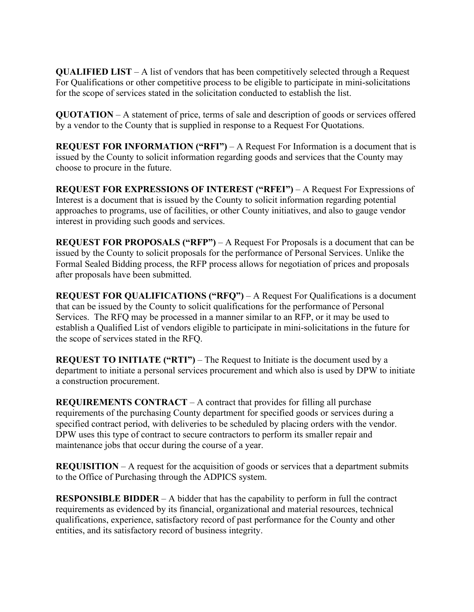**QUALIFIED LIST** – A list of vendors that has been competitively selected through a Request For Qualifications or other competitive process to be eligible to participate in mini-solicitations for the scope of services stated in the solicitation conducted to establish the list.

**QUOTATION** – A statement of price, terms of sale and description of goods or services offered by a vendor to the County that is supplied in response to a Request For Quotations.

**REQUEST FOR INFORMATION ("RFI")** – A Request For Information is a document that is issued by the County to solicit information regarding goods and services that the County may choose to procure in the future.

**REQUEST FOR EXPRESSIONS OF INTEREST ("RFEI")** – A Request For Expressions of Interest is a document that is issued by the County to solicit information regarding potential approaches to programs, use of facilities, or other County initiatives, and also to gauge vendor interest in providing such goods and services.

**REQUEST FOR PROPOSALS ("RFP")** – A Request For Proposals is a document that can be issued by the County to solicit proposals for the performance of Personal Services. Unlike the Formal Sealed Bidding process, the RFP process allows for negotiation of prices and proposals after proposals have been submitted.

**REQUEST FOR QUALIFICATIONS ("RFQ")** – A Request For Qualifications is a document that can be issued by the County to solicit qualifications for the performance of Personal Services. The RFQ may be processed in a manner similar to an RFP, or it may be used to establish a Qualified List of vendors eligible to participate in mini-solicitations in the future for the scope of services stated in the RFQ.

**REQUEST TO INITIATE ("RTI")** – The Request to Initiate is the document used by a department to initiate a personal services procurement and which also is used by DPW to initiate a construction procurement.

**REQUIREMENTS CONTRACT** – A contract that provides for filling all purchase requirements of the purchasing County department for specified goods or services during a specified contract period, with deliveries to be scheduled by placing orders with the vendor. DPW uses this type of contract to secure contractors to perform its smaller repair and maintenance jobs that occur during the course of a year.

**REQUISITION** – A request for the acquisition of goods or services that a department submits to the Office of Purchasing through the ADPICS system.

**RESPONSIBLE BIDDER** – A bidder that has the capability to perform in full the contract requirements as evidenced by its financial, organizational and material resources, technical qualifications, experience, satisfactory record of past performance for the County and other entities, and its satisfactory record of business integrity.